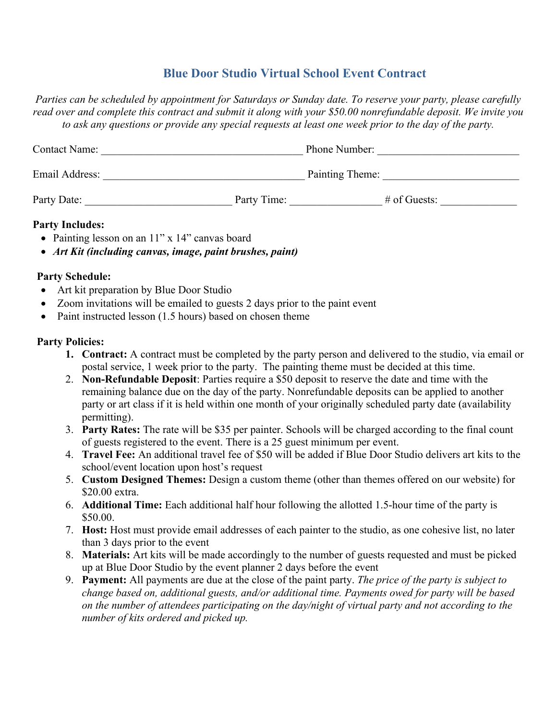# **Blue Door Studio Virtual School Event Contract**

*Parties can be scheduled by appointment for Saturdays or Sunday date. To reserve your party, please carefully read over and complete this contract and submit it along with your \$50.00 nonrefundable deposit. We invite you to ask any questions or provide any special requests at least one week prior to the day of the party.*

| <b>Contact Name:</b> |             | <b>Phone Number:</b> |                |
|----------------------|-------------|----------------------|----------------|
| Email Address:       |             | Painting Theme:      |                |
| Party Date:          | Party Time: |                      | $#$ of Guests: |

#### **Party Includes:**

- Painting lesson on an 11" x 14" canvas board
- *Art Kit (including canvas, image, paint brushes, paint)*

## **Party Schedule:**

- Art kit preparation by Blue Door Studio
- Zoom invitations will be emailed to guests 2 days prior to the paint event
- Paint instructed lesson (1.5 hours) based on chosen theme

## **Party Policies:**

- **1. Contract:** A contract must be completed by the party person and delivered to the studio, via email or postal service, 1 week prior to the party. The painting theme must be decided at this time.
- 2. **Non-Refundable Deposit**: Parties require a \$50 deposit to reserve the date and time with the remaining balance due on the day of the party. Nonrefundable deposits can be applied to another party or art class if it is held within one month of your originally scheduled party date (availability permitting).
- 3. **Party Rates:** The rate will be \$35 per painter. Schools will be charged according to the final count of guests registered to the event. There is a 25 guest minimum per event.
- 4. **Travel Fee:** An additional travel fee of \$50 will be added if Blue Door Studio delivers art kits to the school/event location upon host's request
- 5. **Custom Designed Themes:** Design a custom theme (other than themes offered on our website) for \$20.00 extra.
- 6. **Additional Time:** Each additional half hour following the allotted 1.5-hour time of the party is \$50.00.
- 7. **Host:** Host must provide email addresses of each painter to the studio, as one cohesive list, no later than 3 days prior to the event
- 8. **Materials:** Art kits will be made accordingly to the number of guests requested and must be picked up at Blue Door Studio by the event planner 2 days before the event
- 9. **Payment:** All payments are due at the close of the paint party. *The price of the party is subject to change based on, additional guests, and/or additional time. Payments owed for party will be based on the number of attendees participating on the day/night of virtual party and not according to the number of kits ordered and picked up.*